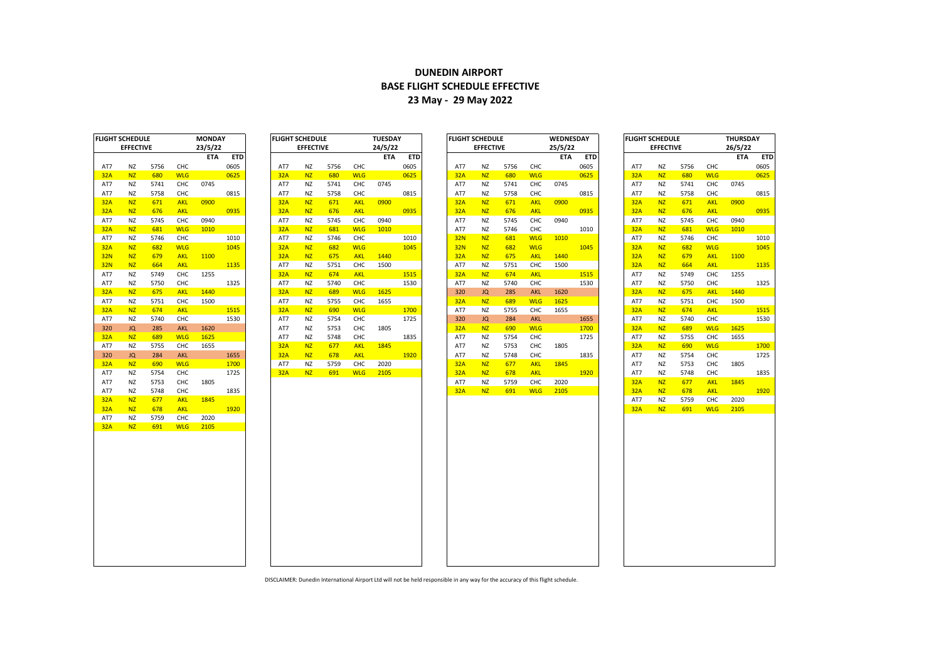## **DUNEDIN AIRPORT BASE FLIGHT SCHEDULE EFFECTIVE 23 May - 29 May 2022**

| 23/5/22<br>24/5/22<br><b>EFFECTIVE</b><br><b>EFFECTIVE</b><br>25/5/22<br><b>EFFECTIVE</b><br>ETA<br><b>ETD</b><br>ETA<br><b>ETD</b><br>ETA<br><b>ETD</b><br>0605<br>5756<br>CHC<br>0605<br>5756<br>CHC<br>5756<br>CHC<br>0605<br><b>NZ</b><br>NZ<br>AT7<br>ΝZ<br>AT7<br>ΝZ<br>AT7<br>680<br>0625<br><b>NZ</b><br><b>WLG</b><br>680<br><b>NZ</b><br><b>WLG</b><br>32A<br>680<br>0625<br>32A<br><b>NZ</b><br><b>WLG</b><br>0625<br>32A<br><b>NZ</b><br>CHC<br>0745<br>5741<br>CHC<br>0745<br>5741<br>CHC<br>0745<br>5741<br>ΝZ<br>ΝZ<br>NZ<br>ΝZ<br>AT7<br>AT7<br>AT7<br>5758<br>CHC<br>0815<br>CHC<br>0815<br>5758<br>CHC<br>0815<br><b>NZ</b><br>NZ<br>AT7<br>ΝZ<br>5758<br>AT7<br>ΝZ<br>AT7<br>0900<br>0900<br>0900<br><b>NZ</b><br>671<br><b>AKL</b><br>32A<br><b>NZ</b><br>671<br><b>AKL</b><br>32A<br><b>NZ</b><br>671<br><b>AKL</b><br>32A<br><b>NZ</b><br><b>AKL</b><br>0935<br><b>AKL</b><br>0935<br><b>AKL</b><br><b>NZ</b><br><b>NZ</b><br>676<br>32A<br><b>NZ</b><br>676<br>NZ<br>676<br>0935<br>32A<br>32A<br>CHC<br>0940<br>CHC<br>0940<br><b>NZ</b><br>5745<br>CHC<br>0940<br>5745<br><b>NZ</b><br>NZ<br>5745<br>AT7<br>AT7<br>ΝZ<br>AT7<br>1010<br><b>WLG</b><br>1010<br>5746<br>CHC<br><b>NZ</b><br>681<br><b>WLG</b><br>32A<br><b>NZ</b><br>681<br>AT7<br>ΝZ<br>1010<br>32A<br><b>NZ</b><br>1010<br>CHC<br>CHC<br><b>32N</b><br><b>NZ</b><br><b>WLG</b><br>5746<br>1010<br>AT7<br>ΝZ<br>5746<br>1010<br>681<br>NZ<br>ΝZ<br>AT7<br>682<br><b>WLG</b><br>1045<br>32A<br>NZ<br>682<br><b>WLG</b><br>1045<br><b>NZ</b><br>682<br><b>WLG</b><br>32A<br><b>NZ</b><br><b>NZ</b><br>32N<br>1045<br>1100<br><b>NZ</b><br>675<br>1440<br>1440<br><b>NZ</b><br><b>AKL</b><br>32A<br><b>AKL</b><br><b>NZ</b><br>675<br><b>AKL</b><br><b>NZ</b><br>679<br>32A<br>32A<br><b>AKL</b><br>1135<br>5751<br>CHC<br>1500<br>32A<br><b>NZ</b><br>NZ<br>664<br>ΝZ<br>5751<br>CHC<br>1500<br>AT7<br>ΝZ<br>AT7<br>CHC<br>1255<br>32A<br><b>NZ</b><br>674<br><b>AKL</b><br>1515<br>32A<br><b>NZ</b><br>674<br><b>AKL</b><br>1515<br><b>NZ</b><br>NZ<br>5749<br>AT7<br>5750<br>CHC<br>1325<br>CHC<br>1530<br>5740<br>CHC<br>NZ<br>AT7<br>ΝZ<br>5740<br>ΝZ<br>1530<br>AT7<br>NZ<br>AT7<br>1440<br>1625<br><b>NZ</b><br><b>AKL</b><br>32A<br><b>NZ</b><br>689<br><b>WLG</b><br><b>JQ</b><br>285<br>AKL<br>1620<br><b>NZ</b><br>675<br>320<br>32A<br>5751<br>1500<br>5755<br>CHC<br><b>WLG</b><br>1625<br><b>NZ</b><br>NZ<br><b>CHC</b><br>AT7<br>ΝZ<br>1655<br>32A<br>NZ<br>689<br>AT7<br>1515<br>1700<br>CHC<br>1655<br><b>NZ</b><br>674<br><b>AKL</b><br>32A<br><b>NZ</b><br>690<br><b>WLG</b><br><b>NZ</b><br>5755<br>32A<br><b>NZ</b><br>AT7<br>1530<br>1725<br>JQ<br>284<br><b>AKL</b><br>1655<br><b>NZ</b><br>NZ<br>5740<br>CHC<br>AT7<br>ΝZ<br>5754<br>CHC<br>320<br>AT7<br>CHC<br>1805<br>285<br><b>AKL</b><br>1620<br>AT7<br>NZ<br>5753<br>32A<br><b>NZ</b><br>690<br><b>WLG</b><br>1700<br>32A<br><b>NZ</b><br>JQ<br><b>WLG</b><br>1625<br><b>NZ</b><br>CHC<br>1835<br>5754<br>CHC<br>1725<br>NZ<br>689<br>AT7<br>5748<br>AT7<br>ΝZ<br>AT7<br>NZ<br>1845<br>CHC<br>1805<br><b>NZ</b><br>5755<br>CHC<br>1655<br>32A<br><b>NZ</b><br>677<br><b>AKL</b><br>AT7<br>NZ<br>5753<br>32A<br><b>NZ</b><br>$\mathsf{CHC}\xspace$<br>284<br><b>AKL</b><br>1655<br>32A<br><b>NZ</b><br><b>AKL</b><br>1920<br>NZ<br>5748<br>1835<br><b>NZ</b><br>JQ<br>678<br>AT7<br>AT7<br>5759<br>CHC<br><b>NZ</b><br>677<br><b>AKL</b><br>1845<br><b>NZ</b><br>690<br><b>WLG</b><br>1700<br><b>NZ</b><br>2020<br>32A<br>AT7<br>NZ<br>AT7<br>5754<br>CHC<br>1725<br>32A<br><b>NZ</b><br>691<br><b>WLG</b><br>2105<br><b>NZ</b><br><b>AKL</b><br>1920<br>AT7<br><b>NZ</b><br>NZ<br>32A<br>678<br>5753<br>CHC<br>1805<br>5759<br>CHC<br>2020<br>32A<br>NZ<br>NZ<br>AT7<br>ΝZ<br><b>WLG</b><br>5748<br>CHC<br>1835<br>32A<br><b>NZ</b><br>691<br>2105<br>32A<br><b>NZ</b><br>NZ<br>1845<br>677<br><b>AKL</b><br><b>NZ</b><br>NZ<br>AT7<br><b>AKL</b><br><b>NZ</b><br>678 | 26/5/<br><b>EFFECTIVE</b><br>5756<br>CHC<br>680<br><b>WLG</b><br>5741<br>CHC<br>CHC<br>5758<br>671<br><b>AKL</b><br>676<br><b>AKL</b><br>5745<br>CHC<br>681<br><b>WLG</b><br>CHC<br>5746<br><b>WLG</b><br>682<br><b>AKL</b><br>679<br>664<br><b>AKL</b><br>5749<br>CHC<br>CHC<br>5750<br>675<br><b>AKL</b><br>5751<br>CHC<br>674<br><b>AKL</b><br>CHC<br>5740<br>689<br><b>WLG</b><br>CHC<br>5755<br><b>WLG</b><br>690<br>5754<br>CHC<br>CHC<br>5753<br>5748<br>CHC<br>677<br><b>AKL</b><br>678<br><b>AKL</b> |
|------------------------------------------------------------------------------------------------------------------------------------------------------------------------------------------------------------------------------------------------------------------------------------------------------------------------------------------------------------------------------------------------------------------------------------------------------------------------------------------------------------------------------------------------------------------------------------------------------------------------------------------------------------------------------------------------------------------------------------------------------------------------------------------------------------------------------------------------------------------------------------------------------------------------------------------------------------------------------------------------------------------------------------------------------------------------------------------------------------------------------------------------------------------------------------------------------------------------------------------------------------------------------------------------------------------------------------------------------------------------------------------------------------------------------------------------------------------------------------------------------------------------------------------------------------------------------------------------------------------------------------------------------------------------------------------------------------------------------------------------------------------------------------------------------------------------------------------------------------------------------------------------------------------------------------------------------------------------------------------------------------------------------------------------------------------------------------------------------------------------------------------------------------------------------------------------------------------------------------------------------------------------------------------------------------------------------------------------------------------------------------------------------------------------------------------------------------------------------------------------------------------------------------------------------------------------------------------------------------------------------------------------------------------------------------------------------------------------------------------------------------------------------------------------------------------------------------------------------------------------------------------------------------------------------------------------------------------------------------------------------------------------------------------------------------------------------------------------------------------------------------------------------------------------------------------------------------------------------------------------------------------------------------------------------------------------------------------------------------------------------------------------------------------------------------------------------------------------------------------------------------------------------------------------------------------------------------------------------------------------------------------------------------------------------------------------------------------------------------------------------------------------------------------------------------------------------------------------------------------------------------------------------------------------------------------|---------------------------------------------------------------------------------------------------------------------------------------------------------------------------------------------------------------------------------------------------------------------------------------------------------------------------------------------------------------------------------------------------------------------------------------------------------------------------------------------------------------|
|                                                                                                                                                                                                                                                                                                                                                                                                                                                                                                                                                                                                                                                                                                                                                                                                                                                                                                                                                                                                                                                                                                                                                                                                                                                                                                                                                                                                                                                                                                                                                                                                                                                                                                                                                                                                                                                                                                                                                                                                                                                                                                                                                                                                                                                                                                                                                                                                                                                                                                                                                                                                                                                                                                                                                                                                                                                                                                                                                                                                                                                                                                                                                                                                                                                                                                                                                                                                                                                                                                                                                                                                                                                                                                                                                                                                                                                                                                                                          | 0745<br>0900<br>0940<br>1010<br>1100<br>1255<br>1440<br>1500<br>1625<br>1655<br>1805<br>1845                                                                                                                                                                                                                                                                                                                                                                                                                  |
| AT7                                                                                                                                                                                                                                                                                                                                                                                                                                                                                                                                                                                                                                                                                                                                                                                                                                                                                                                                                                                                                                                                                                                                                                                                                                                                                                                                                                                                                                                                                                                                                                                                                                                                                                                                                                                                                                                                                                                                                                                                                                                                                                                                                                                                                                                                                                                                                                                                                                                                                                                                                                                                                                                                                                                                                                                                                                                                                                                                                                                                                                                                                                                                                                                                                                                                                                                                                                                                                                                                                                                                                                                                                                                                                                                                                                                                                                                                                                                                      |                                                                                                                                                                                                                                                                                                                                                                                                                                                                                                               |
| 32A                                                                                                                                                                                                                                                                                                                                                                                                                                                                                                                                                                                                                                                                                                                                                                                                                                                                                                                                                                                                                                                                                                                                                                                                                                                                                                                                                                                                                                                                                                                                                                                                                                                                                                                                                                                                                                                                                                                                                                                                                                                                                                                                                                                                                                                                                                                                                                                                                                                                                                                                                                                                                                                                                                                                                                                                                                                                                                                                                                                                                                                                                                                                                                                                                                                                                                                                                                                                                                                                                                                                                                                                                                                                                                                                                                                                                                                                                                                                      |                                                                                                                                                                                                                                                                                                                                                                                                                                                                                                               |
| AT7<br>AT7<br>32A<br><u>32A</u><br>AT7<br>32A<br>AT7<br><u>32A</u><br>32N<br>32N<br>AT7                                                                                                                                                                                                                                                                                                                                                                                                                                                                                                                                                                                                                                                                                                                                                                                                                                                                                                                                                                                                                                                                                                                                                                                                                                                                                                                                                                                                                                                                                                                                                                                                                                                                                                                                                                                                                                                                                                                                                                                                                                                                                                                                                                                                                                                                                                                                                                                                                                                                                                                                                                                                                                                                                                                                                                                                                                                                                                                                                                                                                                                                                                                                                                                                                                                                                                                                                                                                                                                                                                                                                                                                                                                                                                                                                                                                                                                  |                                                                                                                                                                                                                                                                                                                                                                                                                                                                                                               |
|                                                                                                                                                                                                                                                                                                                                                                                                                                                                                                                                                                                                                                                                                                                                                                                                                                                                                                                                                                                                                                                                                                                                                                                                                                                                                                                                                                                                                                                                                                                                                                                                                                                                                                                                                                                                                                                                                                                                                                                                                                                                                                                                                                                                                                                                                                                                                                                                                                                                                                                                                                                                                                                                                                                                                                                                                                                                                                                                                                                                                                                                                                                                                                                                                                                                                                                                                                                                                                                                                                                                                                                                                                                                                                                                                                                                                                                                                                                                          |                                                                                                                                                                                                                                                                                                                                                                                                                                                                                                               |
|                                                                                                                                                                                                                                                                                                                                                                                                                                                                                                                                                                                                                                                                                                                                                                                                                                                                                                                                                                                                                                                                                                                                                                                                                                                                                                                                                                                                                                                                                                                                                                                                                                                                                                                                                                                                                                                                                                                                                                                                                                                                                                                                                                                                                                                                                                                                                                                                                                                                                                                                                                                                                                                                                                                                                                                                                                                                                                                                                                                                                                                                                                                                                                                                                                                                                                                                                                                                                                                                                                                                                                                                                                                                                                                                                                                                                                                                                                                                          |                                                                                                                                                                                                                                                                                                                                                                                                                                                                                                               |
|                                                                                                                                                                                                                                                                                                                                                                                                                                                                                                                                                                                                                                                                                                                                                                                                                                                                                                                                                                                                                                                                                                                                                                                                                                                                                                                                                                                                                                                                                                                                                                                                                                                                                                                                                                                                                                                                                                                                                                                                                                                                                                                                                                                                                                                                                                                                                                                                                                                                                                                                                                                                                                                                                                                                                                                                                                                                                                                                                                                                                                                                                                                                                                                                                                                                                                                                                                                                                                                                                                                                                                                                                                                                                                                                                                                                                                                                                                                                          |                                                                                                                                                                                                                                                                                                                                                                                                                                                                                                               |
|                                                                                                                                                                                                                                                                                                                                                                                                                                                                                                                                                                                                                                                                                                                                                                                                                                                                                                                                                                                                                                                                                                                                                                                                                                                                                                                                                                                                                                                                                                                                                                                                                                                                                                                                                                                                                                                                                                                                                                                                                                                                                                                                                                                                                                                                                                                                                                                                                                                                                                                                                                                                                                                                                                                                                                                                                                                                                                                                                                                                                                                                                                                                                                                                                                                                                                                                                                                                                                                                                                                                                                                                                                                                                                                                                                                                                                                                                                                                          |                                                                                                                                                                                                                                                                                                                                                                                                                                                                                                               |
|                                                                                                                                                                                                                                                                                                                                                                                                                                                                                                                                                                                                                                                                                                                                                                                                                                                                                                                                                                                                                                                                                                                                                                                                                                                                                                                                                                                                                                                                                                                                                                                                                                                                                                                                                                                                                                                                                                                                                                                                                                                                                                                                                                                                                                                                                                                                                                                                                                                                                                                                                                                                                                                                                                                                                                                                                                                                                                                                                                                                                                                                                                                                                                                                                                                                                                                                                                                                                                                                                                                                                                                                                                                                                                                                                                                                                                                                                                                                          |                                                                                                                                                                                                                                                                                                                                                                                                                                                                                                               |
|                                                                                                                                                                                                                                                                                                                                                                                                                                                                                                                                                                                                                                                                                                                                                                                                                                                                                                                                                                                                                                                                                                                                                                                                                                                                                                                                                                                                                                                                                                                                                                                                                                                                                                                                                                                                                                                                                                                                                                                                                                                                                                                                                                                                                                                                                                                                                                                                                                                                                                                                                                                                                                                                                                                                                                                                                                                                                                                                                                                                                                                                                                                                                                                                                                                                                                                                                                                                                                                                                                                                                                                                                                                                                                                                                                                                                                                                                                                                          |                                                                                                                                                                                                                                                                                                                                                                                                                                                                                                               |
|                                                                                                                                                                                                                                                                                                                                                                                                                                                                                                                                                                                                                                                                                                                                                                                                                                                                                                                                                                                                                                                                                                                                                                                                                                                                                                                                                                                                                                                                                                                                                                                                                                                                                                                                                                                                                                                                                                                                                                                                                                                                                                                                                                                                                                                                                                                                                                                                                                                                                                                                                                                                                                                                                                                                                                                                                                                                                                                                                                                                                                                                                                                                                                                                                                                                                                                                                                                                                                                                                                                                                                                                                                                                                                                                                                                                                                                                                                                                          |                                                                                                                                                                                                                                                                                                                                                                                                                                                                                                               |
|                                                                                                                                                                                                                                                                                                                                                                                                                                                                                                                                                                                                                                                                                                                                                                                                                                                                                                                                                                                                                                                                                                                                                                                                                                                                                                                                                                                                                                                                                                                                                                                                                                                                                                                                                                                                                                                                                                                                                                                                                                                                                                                                                                                                                                                                                                                                                                                                                                                                                                                                                                                                                                                                                                                                                                                                                                                                                                                                                                                                                                                                                                                                                                                                                                                                                                                                                                                                                                                                                                                                                                                                                                                                                                                                                                                                                                                                                                                                          |                                                                                                                                                                                                                                                                                                                                                                                                                                                                                                               |
|                                                                                                                                                                                                                                                                                                                                                                                                                                                                                                                                                                                                                                                                                                                                                                                                                                                                                                                                                                                                                                                                                                                                                                                                                                                                                                                                                                                                                                                                                                                                                                                                                                                                                                                                                                                                                                                                                                                                                                                                                                                                                                                                                                                                                                                                                                                                                                                                                                                                                                                                                                                                                                                                                                                                                                                                                                                                                                                                                                                                                                                                                                                                                                                                                                                                                                                                                                                                                                                                                                                                                                                                                                                                                                                                                                                                                                                                                                                                          |                                                                                                                                                                                                                                                                                                                                                                                                                                                                                                               |
|                                                                                                                                                                                                                                                                                                                                                                                                                                                                                                                                                                                                                                                                                                                                                                                                                                                                                                                                                                                                                                                                                                                                                                                                                                                                                                                                                                                                                                                                                                                                                                                                                                                                                                                                                                                                                                                                                                                                                                                                                                                                                                                                                                                                                                                                                                                                                                                                                                                                                                                                                                                                                                                                                                                                                                                                                                                                                                                                                                                                                                                                                                                                                                                                                                                                                                                                                                                                                                                                                                                                                                                                                                                                                                                                                                                                                                                                                                                                          |                                                                                                                                                                                                                                                                                                                                                                                                                                                                                                               |
| AT7<br>32A<br>AT7<br>32A<br>AT7<br>320<br>32A                                                                                                                                                                                                                                                                                                                                                                                                                                                                                                                                                                                                                                                                                                                                                                                                                                                                                                                                                                                                                                                                                                                                                                                                                                                                                                                                                                                                                                                                                                                                                                                                                                                                                                                                                                                                                                                                                                                                                                                                                                                                                                                                                                                                                                                                                                                                                                                                                                                                                                                                                                                                                                                                                                                                                                                                                                                                                                                                                                                                                                                                                                                                                                                                                                                                                                                                                                                                                                                                                                                                                                                                                                                                                                                                                                                                                                                                                            |                                                                                                                                                                                                                                                                                                                                                                                                                                                                                                               |
|                                                                                                                                                                                                                                                                                                                                                                                                                                                                                                                                                                                                                                                                                                                                                                                                                                                                                                                                                                                                                                                                                                                                                                                                                                                                                                                                                                                                                                                                                                                                                                                                                                                                                                                                                                                                                                                                                                                                                                                                                                                                                                                                                                                                                                                                                                                                                                                                                                                                                                                                                                                                                                                                                                                                                                                                                                                                                                                                                                                                                                                                                                                                                                                                                                                                                                                                                                                                                                                                                                                                                                                                                                                                                                                                                                                                                                                                                                                                          |                                                                                                                                                                                                                                                                                                                                                                                                                                                                                                               |
|                                                                                                                                                                                                                                                                                                                                                                                                                                                                                                                                                                                                                                                                                                                                                                                                                                                                                                                                                                                                                                                                                                                                                                                                                                                                                                                                                                                                                                                                                                                                                                                                                                                                                                                                                                                                                                                                                                                                                                                                                                                                                                                                                                                                                                                                                                                                                                                                                                                                                                                                                                                                                                                                                                                                                                                                                                                                                                                                                                                                                                                                                                                                                                                                                                                                                                                                                                                                                                                                                                                                                                                                                                                                                                                                                                                                                                                                                                                                          |                                                                                                                                                                                                                                                                                                                                                                                                                                                                                                               |
|                                                                                                                                                                                                                                                                                                                                                                                                                                                                                                                                                                                                                                                                                                                                                                                                                                                                                                                                                                                                                                                                                                                                                                                                                                                                                                                                                                                                                                                                                                                                                                                                                                                                                                                                                                                                                                                                                                                                                                                                                                                                                                                                                                                                                                                                                                                                                                                                                                                                                                                                                                                                                                                                                                                                                                                                                                                                                                                                                                                                                                                                                                                                                                                                                                                                                                                                                                                                                                                                                                                                                                                                                                                                                                                                                                                                                                                                                                                                          |                                                                                                                                                                                                                                                                                                                                                                                                                                                                                                               |
|                                                                                                                                                                                                                                                                                                                                                                                                                                                                                                                                                                                                                                                                                                                                                                                                                                                                                                                                                                                                                                                                                                                                                                                                                                                                                                                                                                                                                                                                                                                                                                                                                                                                                                                                                                                                                                                                                                                                                                                                                                                                                                                                                                                                                                                                                                                                                                                                                                                                                                                                                                                                                                                                                                                                                                                                                                                                                                                                                                                                                                                                                                                                                                                                                                                                                                                                                                                                                                                                                                                                                                                                                                                                                                                                                                                                                                                                                                                                          |                                                                                                                                                                                                                                                                                                                                                                                                                                                                                                               |
|                                                                                                                                                                                                                                                                                                                                                                                                                                                                                                                                                                                                                                                                                                                                                                                                                                                                                                                                                                                                                                                                                                                                                                                                                                                                                                                                                                                                                                                                                                                                                                                                                                                                                                                                                                                                                                                                                                                                                                                                                                                                                                                                                                                                                                                                                                                                                                                                                                                                                                                                                                                                                                                                                                                                                                                                                                                                                                                                                                                                                                                                                                                                                                                                                                                                                                                                                                                                                                                                                                                                                                                                                                                                                                                                                                                                                                                                                                                                          |                                                                                                                                                                                                                                                                                                                                                                                                                                                                                                               |
|                                                                                                                                                                                                                                                                                                                                                                                                                                                                                                                                                                                                                                                                                                                                                                                                                                                                                                                                                                                                                                                                                                                                                                                                                                                                                                                                                                                                                                                                                                                                                                                                                                                                                                                                                                                                                                                                                                                                                                                                                                                                                                                                                                                                                                                                                                                                                                                                                                                                                                                                                                                                                                                                                                                                                                                                                                                                                                                                                                                                                                                                                                                                                                                                                                                                                                                                                                                                                                                                                                                                                                                                                                                                                                                                                                                                                                                                                                                                          |                                                                                                                                                                                                                                                                                                                                                                                                                                                                                                               |
| AT7<br>320<br>32A<br>AT7<br>AT7<br>AT7<br>32A<br>32A                                                                                                                                                                                                                                                                                                                                                                                                                                                                                                                                                                                                                                                                                                                                                                                                                                                                                                                                                                                                                                                                                                                                                                                                                                                                                                                                                                                                                                                                                                                                                                                                                                                                                                                                                                                                                                                                                                                                                                                                                                                                                                                                                                                                                                                                                                                                                                                                                                                                                                                                                                                                                                                                                                                                                                                                                                                                                                                                                                                                                                                                                                                                                                                                                                                                                                                                                                                                                                                                                                                                                                                                                                                                                                                                                                                                                                                                                     |                                                                                                                                                                                                                                                                                                                                                                                                                                                                                                               |
|                                                                                                                                                                                                                                                                                                                                                                                                                                                                                                                                                                                                                                                                                                                                                                                                                                                                                                                                                                                                                                                                                                                                                                                                                                                                                                                                                                                                                                                                                                                                                                                                                                                                                                                                                                                                                                                                                                                                                                                                                                                                                                                                                                                                                                                                                                                                                                                                                                                                                                                                                                                                                                                                                                                                                                                                                                                                                                                                                                                                                                                                                                                                                                                                                                                                                                                                                                                                                                                                                                                                                                                                                                                                                                                                                                                                                                                                                                                                          |                                                                                                                                                                                                                                                                                                                                                                                                                                                                                                               |
|                                                                                                                                                                                                                                                                                                                                                                                                                                                                                                                                                                                                                                                                                                                                                                                                                                                                                                                                                                                                                                                                                                                                                                                                                                                                                                                                                                                                                                                                                                                                                                                                                                                                                                                                                                                                                                                                                                                                                                                                                                                                                                                                                                                                                                                                                                                                                                                                                                                                                                                                                                                                                                                                                                                                                                                                                                                                                                                                                                                                                                                                                                                                                                                                                                                                                                                                                                                                                                                                                                                                                                                                                                                                                                                                                                                                                                                                                                                                          |                                                                                                                                                                                                                                                                                                                                                                                                                                                                                                               |
|                                                                                                                                                                                                                                                                                                                                                                                                                                                                                                                                                                                                                                                                                                                                                                                                                                                                                                                                                                                                                                                                                                                                                                                                                                                                                                                                                                                                                                                                                                                                                                                                                                                                                                                                                                                                                                                                                                                                                                                                                                                                                                                                                                                                                                                                                                                                                                                                                                                                                                                                                                                                                                                                                                                                                                                                                                                                                                                                                                                                                                                                                                                                                                                                                                                                                                                                                                                                                                                                                                                                                                                                                                                                                                                                                                                                                                                                                                                                          |                                                                                                                                                                                                                                                                                                                                                                                                                                                                                                               |
|                                                                                                                                                                                                                                                                                                                                                                                                                                                                                                                                                                                                                                                                                                                                                                                                                                                                                                                                                                                                                                                                                                                                                                                                                                                                                                                                                                                                                                                                                                                                                                                                                                                                                                                                                                                                                                                                                                                                                                                                                                                                                                                                                                                                                                                                                                                                                                                                                                                                                                                                                                                                                                                                                                                                                                                                                                                                                                                                                                                                                                                                                                                                                                                                                                                                                                                                                                                                                                                                                                                                                                                                                                                                                                                                                                                                                                                                                                                                          |                                                                                                                                                                                                                                                                                                                                                                                                                                                                                                               |
|                                                                                                                                                                                                                                                                                                                                                                                                                                                                                                                                                                                                                                                                                                                                                                                                                                                                                                                                                                                                                                                                                                                                                                                                                                                                                                                                                                                                                                                                                                                                                                                                                                                                                                                                                                                                                                                                                                                                                                                                                                                                                                                                                                                                                                                                                                                                                                                                                                                                                                                                                                                                                                                                                                                                                                                                                                                                                                                                                                                                                                                                                                                                                                                                                                                                                                                                                                                                                                                                                                                                                                                                                                                                                                                                                                                                                                                                                                                                          |                                                                                                                                                                                                                                                                                                                                                                                                                                                                                                               |
|                                                                                                                                                                                                                                                                                                                                                                                                                                                                                                                                                                                                                                                                                                                                                                                                                                                                                                                                                                                                                                                                                                                                                                                                                                                                                                                                                                                                                                                                                                                                                                                                                                                                                                                                                                                                                                                                                                                                                                                                                                                                                                                                                                                                                                                                                                                                                                                                                                                                                                                                                                                                                                                                                                                                                                                                                                                                                                                                                                                                                                                                                                                                                                                                                                                                                                                                                                                                                                                                                                                                                                                                                                                                                                                                                                                                                                                                                                                                          |                                                                                                                                                                                                                                                                                                                                                                                                                                                                                                               |
|                                                                                                                                                                                                                                                                                                                                                                                                                                                                                                                                                                                                                                                                                                                                                                                                                                                                                                                                                                                                                                                                                                                                                                                                                                                                                                                                                                                                                                                                                                                                                                                                                                                                                                                                                                                                                                                                                                                                                                                                                                                                                                                                                                                                                                                                                                                                                                                                                                                                                                                                                                                                                                                                                                                                                                                                                                                                                                                                                                                                                                                                                                                                                                                                                                                                                                                                                                                                                                                                                                                                                                                                                                                                                                                                                                                                                                                                                                                                          | 5759<br>CHC<br>2020                                                                                                                                                                                                                                                                                                                                                                                                                                                                                           |
|                                                                                                                                                                                                                                                                                                                                                                                                                                                                                                                                                                                                                                                                                                                                                                                                                                                                                                                                                                                                                                                                                                                                                                                                                                                                                                                                                                                                                                                                                                                                                                                                                                                                                                                                                                                                                                                                                                                                                                                                                                                                                                                                                                                                                                                                                                                                                                                                                                                                                                                                                                                                                                                                                                                                                                                                                                                                                                                                                                                                                                                                                                                                                                                                                                                                                                                                                                                                                                                                                                                                                                                                                                                                                                                                                                                                                                                                                                                                          | 2105<br>1920<br>32A<br><b>NZ</b><br>691<br><b>WLG</b>                                                                                                                                                                                                                                                                                                                                                                                                                                                         |
| 2020<br>NZ<br>5759<br>CHC<br>AT7                                                                                                                                                                                                                                                                                                                                                                                                                                                                                                                                                                                                                                                                                                                                                                                                                                                                                                                                                                                                                                                                                                                                                                                                                                                                                                                                                                                                                                                                                                                                                                                                                                                                                                                                                                                                                                                                                                                                                                                                                                                                                                                                                                                                                                                                                                                                                                                                                                                                                                                                                                                                                                                                                                                                                                                                                                                                                                                                                                                                                                                                                                                                                                                                                                                                                                                                                                                                                                                                                                                                                                                                                                                                                                                                                                                                                                                                                                         |                                                                                                                                                                                                                                                                                                                                                                                                                                                                                                               |
| <b>WLG</b><br>2105<br><b>NZ</b><br>691<br>32A                                                                                                                                                                                                                                                                                                                                                                                                                                                                                                                                                                                                                                                                                                                                                                                                                                                                                                                                                                                                                                                                                                                                                                                                                                                                                                                                                                                                                                                                                                                                                                                                                                                                                                                                                                                                                                                                                                                                                                                                                                                                                                                                                                                                                                                                                                                                                                                                                                                                                                                                                                                                                                                                                                                                                                                                                                                                                                                                                                                                                                                                                                                                                                                                                                                                                                                                                                                                                                                                                                                                                                                                                                                                                                                                                                                                                                                                                            |                                                                                                                                                                                                                                                                                                                                                                                                                                                                                                               |

| FLIGHT SCHEDULE |                  |      |            | <b>MONDAY</b> |            | <b>I FLIGHT SCHEDULE</b> |                  |      |            | TUESDAY    |            | <b>FLIGHT SCHEDULE</b> |                  |      |            | <b>WEDNESDAY</b> |            | <b>IFLIGHT SCHEDULE</b> |                  |      |            | <b>THURSDAY</b> |            |
|-----------------|------------------|------|------------|---------------|------------|--------------------------|------------------|------|------------|------------|------------|------------------------|------------------|------|------------|------------------|------------|-------------------------|------------------|------|------------|-----------------|------------|
|                 | <b>EFFECTIVE</b> |      |            | 23/5/22       |            |                          | <b>EFFECTIVE</b> |      |            | 24/5/22    |            |                        | <b>EFFECTIVE</b> |      |            | 25/5/22          |            |                         | <b>EFFECTIVE</b> |      |            | 26/5/22         |            |
|                 |                  |      |            | <b>ETA</b>    | <b>ETD</b> |                          |                  |      |            | <b>ETA</b> | <b>ETD</b> |                        |                  |      |            | <b>ETA</b>       | <b>ETD</b> |                         |                  |      |            | <b>ETA</b>      | <b>ETD</b> |
| AT7             | <b>NZ</b>        | 5756 | CHC        |               | 0605       | AT7                      | <b>NZ</b>        | 5756 | CHC        |            | 0605       | AT7                    | NZ               | 5756 | CHC        |                  | 0605       | AT7                     | <b>NZ</b>        | 5756 | CHC        |                 | 0605       |
| 32A             | N <sub>Z</sub>   | 680  | <b>WLG</b> |               | 0625       | 32A                      | N <sub>Z</sub>   | 680  | <b>WLG</b> |            | 0625       | 32A                    | <b>NZ</b>        | 680  | <b>WLG</b> |                  | 0625       | 32A                     | <b>NZ</b>        | 680  | <b>WLG</b> |                 | 0625       |
| AT7             | NZ               | 5741 | CHC        | 0745          |            | AT7                      | NZ               | 5741 | CHC        | 0745       |            | AT7                    | <b>NZ</b>        | 5741 | CHC        | 0745             |            | AT7                     | <b>NZ</b>        | 5741 | CHC        | 0745            |            |
| AT7             | NZ.              | 5758 | CHC        |               | 0815       | AT7                      | NZ               | 5758 | <b>CHC</b> |            | 0815       | AT7                    | NZ               | 5758 | CHC        |                  | 0815       | AT7                     | NZ               | 5758 | CHC        |                 | 0815       |
| 32A             | N <sub>Z</sub>   | 671  | <b>AKL</b> | 0900          |            | 32A                      | <b>NZ</b>        | 671  | <b>AKL</b> | 0900       |            | 32A                    | <b>NZ</b>        | 671  | <b>AKL</b> | 0900             |            | 32A                     | <b>NZ</b>        | 671  | <b>AKL</b> | 0900            |            |
| 32A             | N <sub>Z</sub>   | 676  | <b>AKL</b> |               | 0935       | 32A                      | <b>NZ</b>        | 676  | <b>AKL</b> |            | 0935       | 32A                    | <b>NZ</b>        | 676  | <b>AKL</b> |                  | 0935       | 32A                     | N <sub>Z</sub>   | 676  | <b>AKL</b> |                 | 0935       |
| AT7             | NZ               | 5745 | CHC        | 0940          |            | AT7                      | NZ               | 5745 | CHC        | 0940       |            | AT7                    | ΝZ               | 5745 | CHC        | 0940             |            | AT7                     | ΝZ               | 5745 | CHC        | 0940            |            |
| 32A             | N <sub>Z</sub>   | 681  | <b>WLG</b> | 1010          |            | 32A                      | <b>NZ</b>        | 681  | <b>WLG</b> | 1010       |            | AT7                    | ΝZ               | 5746 | CHC        |                  | 1010       | 32A                     | N <sub>Z</sub>   | 681  | <b>WLG</b> | 1010            |            |
| AT7             | NZ               | 5746 | CHC        |               | 1010       | AT7                      | <b>NZ</b>        | 5746 | CHC        |            | 1010       | 32N                    | <b>NZ</b>        | 681  | <b>WLG</b> | 1010             |            | AT7                     | <b>NZ</b>        | 5746 | CHC        |                 | 1010       |
| 32A             | N <sub>Z</sub>   | 682  | <b>WLG</b> |               | 1045       | 32A                      | <b>NZ</b>        | 682  | <b>WLG</b> |            | 1045       | 32N                    | <b>NZ</b>        | 682  | <b>WLG</b> |                  | 1045       | 32A                     | N <sub>Z</sub>   | 682  | <b>WLG</b> |                 | 1045       |
| <b>32N</b>      | N <sub>Z</sub>   | 679  | <b>AKL</b> | 1100          |            | 32A                      | N <sub>Z</sub>   | 675  | <b>AKL</b> | 1440       |            | 32A                    | <b>NZ</b>        | 675  | <b>AKL</b> | 1440             |            | 32A                     | N <sub>Z</sub>   | 679  | <b>AKL</b> | 1100            |            |
| <b>32N</b>      | N <sub>Z</sub>   | 664  | <b>AKL</b> |               | 1135       | AT7                      | NZ               | 5751 | CHC        | 1500       |            | AT7                    | NZ               | 5751 | CHC        | 1500             |            | 32A                     | <b>NZ</b>        | 664  | <b>AKL</b> |                 | 1135       |
| AT7             | <b>NZ</b>        | 5749 | CHC        | 1255          |            | 32A                      | N <sub>Z</sub>   | 674  | <b>AKL</b> |            | 1515       | 32A                    | <b>NZ</b>        | 674  | <b>AKL</b> |                  | 1515       | AT7                     | <b>NZ</b>        | 5749 | CHC        | 1255            |            |
| AT7             | <b>NZ</b>        | 5750 | CHC        |               | 1325       | AT7                      | NZ               | 5740 | CHC        |            | 1530       | AT7                    | NZ               | 5740 | CHC        |                  | 1530       | AT7                     | NZ               | 5750 | CHC        |                 | 1325       |
| 32A             | N <sub>Z</sub>   | 675  | <b>AKL</b> | 1440          |            | 32A                      | N <sub>Z</sub>   | 689  | <b>WLG</b> | 1625       |            | 320                    | <b>JQ</b>        | 285  | <b>AKL</b> | 1620             |            | 32A                     | <b>NZ</b>        | 675  | <b>AKL</b> | 1440            |            |
| AT7             | <b>NZ</b>        | 5751 | CHC        | 1500          |            | AT7                      | <b>NZ</b>        | 5755 | CHC        | 1655       |            | 32A                    | <b>NZ</b>        | 689  | <b>WLG</b> | 1625             |            | AT7                     | <b>NZ</b>        | 5751 | CHC        | 1500            |            |
| 32A             | N <sub>Z</sub>   | 674  | <b>AKL</b> |               | 1515       | 32A                      | N <sub>Z</sub>   | 690  | <b>WLG</b> |            | 1700       | AT7                    | NZ.              | 5755 | <b>CHC</b> | 1655             |            | 32A                     | <b>NZ</b>        | 674  | <b>AKL</b> |                 | 1515       |
| AT7             | NZ               | 5740 | CHC        |               | 1530       | AT7                      | NZ               | 5754 | CHC        |            | 1725       | 320                    | <b>JQ</b>        | 284  | AKL        |                  | 1655       | AT7                     | <b>NZ</b>        | 5740 | CHC        |                 | 1530       |
| 320             | JQ               | 285  | <b>AKL</b> | 1620          |            | AT7                      | <b>NZ</b>        | 5753 | CHC        | 1805       |            | 32A                    | <b>NZ</b>        | 690  | <b>WLG</b> |                  | 1700       | 32A                     | N <sub>Z</sub>   | 689  | <b>WLG</b> | 1625            |            |
| 32A             | N <sub>Z</sub>   | 689  | <b>WLG</b> | 1625          |            | AT7                      | NZ               | 5748 | CHC        |            | 1835       | AT7                    | NZ               | 5754 | <b>CHC</b> |                  | 1725       | AT7                     | NZ               | 5755 | CHC        | 1655            |            |
| AT7             | NZ               | 5755 | CHC        | 1655          |            | 32A                      | <b>NZ</b>        | 677  | <b>AKL</b> | 1845       |            | AT7                    | <b>NZ</b>        | 5753 | <b>CHC</b> | 1805             |            | 32A                     | N <sub>Z</sub>   | 690  | <b>WLG</b> |                 | 1700       |
| 320             | JQ               | 284  | <b>AKL</b> |               | 1655       | 32A                      | N <sub>Z</sub>   | 678  | <b>AKL</b> |            | 1920       | AT7                    | NZ               | 5748 | CHC        |                  | 1835       | AT7                     | <b>NZ</b>        | 5754 | CHC        |                 | 1725       |
| 32A             | N <sub>Z</sub>   | 690  | <b>WLG</b> |               | 1700       | AT7                      | NZ               | 5759 | CHC        | 2020       |            | 32A                    | <b>NZ</b>        | 677  | <b>AKL</b> | 1845             |            | AT7                     | <b>NZ</b>        | 5753 | CHC        | 1805            |            |
| AT7             | NZ               | 5754 | CHC        |               | 1725       | 32A                      | <b>NZ</b>        | 691  | <b>WLG</b> | 2105       |            | 32A                    | <b>NZ</b>        | 678  | <b>AKL</b> |                  | 1920       | AT7                     | NZ               | 5748 | CHC        |                 | 1835       |
| AT7             | ΝZ               | 5753 | CHC        | 1805          |            |                          |                  |      |            |            |            | AT7                    | NZ               | 5759 | CHC        | 2020             |            | 32A                     | <b>NZ</b>        | 677  | <b>AKL</b> | 1845            |            |
| AT7             | ΝZ               | 5748 | CHC        |               | 1835       |                          |                  |      |            |            |            | 32A                    | <b>NZ</b>        | 691  | <b>WLG</b> | 2105             |            | 32A                     | N <sub>Z</sub>   | 678  | <b>AKL</b> |                 | 1920       |

|            | <b>FLIGHT SCHEDULE</b> |      |            | <b>THURSDAY</b> |      |
|------------|------------------------|------|------------|-----------------|------|
|            | <b>EFFECTIVE</b>       |      |            | 26/5/22         |      |
|            |                        |      |            | <b>ETA</b>      | ETD  |
| AT7        | ΝZ                     | 5756 | CHC        |                 | 0605 |
| <b>32A</b> | <b>NZ</b>              | 680  | <b>WLG</b> |                 | 0625 |
| AT7        | ΝZ                     | 5741 | CHC        | 0745            |      |
| AT7        | ΝZ                     | 5758 | CHC        |                 | 0815 |
| 32A        | <b>NZ</b>              | 671  | <b>AKL</b> | 0900            |      |
| 32A        | <b>NZ</b>              | 676  | <b>AKL</b> |                 | 0935 |
| AT7        | NZ                     | 5745 | CHC        | 0940            |      |
| 32A        | <b>NZ</b>              | 681  | <b>WLG</b> | 1010            |      |
| AT7        | ΝZ                     | 5746 | CHC        |                 | 1010 |
| <b>32A</b> | <b>NZ</b>              | 682  | <b>WLG</b> |                 | 1045 |
| 32A        | <b>NZ</b>              | 679  | <b>AKL</b> | 1100            |      |
| <b>32A</b> | <b>NZ</b>              | 664  | <b>AKL</b> |                 | 1135 |
| AT7        | ΝZ                     | 5749 | CHC        | 1255            |      |
| AT7        | ΝZ                     | 5750 | CHC        |                 | 1325 |
| 32A        | <b>NZ</b>              | 675  | <b>AKL</b> | 1440            |      |
| AT7        | ΝZ                     | 5751 | CHC        | 1500            |      |
| 32A        | <b>NZ</b>              | 674  | <b>AKL</b> |                 | 1515 |
| AT7        | ΝZ                     | 5740 | CHC        |                 | 1530 |
| 32A        | NZ                     | 689  | <b>WLG</b> | 1625            |      |
| AT7        | ΝZ                     | 5755 | CHC        | 1655            |      |
| 32A        | <b>NZ</b>              | 690  | <b>WLG</b> |                 | 1700 |
| AT7        | ΝZ                     | 5754 | CHC        |                 | 1725 |
| AT7        | ΝZ                     | 5753 | CHC        | 1805            |      |
| AT7        | ΝZ                     | 5748 | CHC        |                 | 1835 |
| <b>32A</b> | NZ                     | 677  | <b>AKL</b> | 1845            |      |
| <b>32A</b> | NZ                     | 678  | <b>AKL</b> |                 | 1920 |
| AT7        | ΝZ                     | 5759 | CHC        | 2020            |      |
| 32A        | <b>NZ</b>              | 691  | <b>WLG</b> | 2105            |      |

DISCLAIMER: Dunedin International Airport Ltd will not be held responsible in any way for the accuracy of this flight schedule.